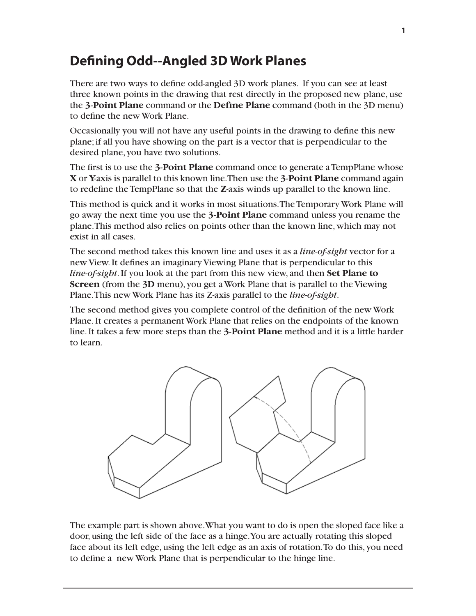## **Defining Odd--Angled 3D Work Planes**

There are two ways to define odd-angled 3D work planes. If you can see at least three known points in the drawing that rest directly in the proposed new plane, use the **3-Point Plane** command or the **Define Plane** command (both in the 3D menu) to define the new Work Plane.

Occasionally you will not have any useful points in the drawing to define this new plane; if all you have showing on the part is a vector that is perpendicular to the desired plane, you have two solutions.

The first is to use the **3-Point Plane** command once to generate a TempPlane whose **X** or **Y**-axis is parallel to this known line. Then use the **3-Point Plane** command again to redefine the TempPlane so that the **Z**-axis winds up parallel to the known line.

This method is quick and it works in most situations. The Temporary Work Plane will go away the next time you use the **3-Point Plane** command unless you rename the plane. This method also relies on points other than the known line, which may not exist in all cases.

The second method takes this known line and uses it as a *line-of-sight* vector for a new View. It defines an imaginary Viewing Plane that is perpendicular to this *line-of-sight*. If you look at the part from this new view, and then **Set Plane to Screen** (from the **3D** menu), you get a Work Plane that is parallel to the Viewing Plane. This new Work Plane has its Z-axis parallel to the *line-of-sight*.

The second method gives you complete control of the definition of the new Work Plane. It creates a permanent Work Plane that relies on the endpoints of the known line. It takes a few more steps than the **3-Point Plane** method and it is a little harder to learn.



The example part is shown above. What you want to do is open the sloped face like a door, using the left side of the face as a hinge. You are actually rotating this sloped face about its left edge, using the left edge as an axis of rotation. To do this, you need to define a new Work Plane that is perpendicular to the hinge line.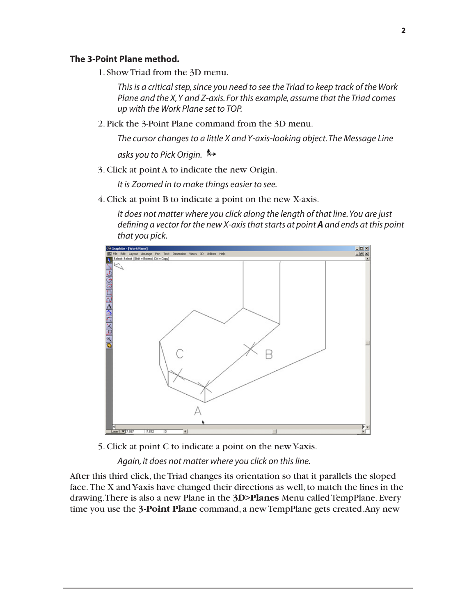## **The 3-Point Plane method.**

1. Show Triad from the 3D menu.

*This is a critical step, since you need to see the Triad to keep track of the Work Plane and the X, Y and Z-axis. For this example, assume that the Triad comes up with the Work Plane set to TOP.*

2. Pick the 3-Point Plane command from the 3D menu.

*The cursor changes to a little X and Y-axis-looking object. The Message Line asks you to Pick Origin.* 

3. Click at point A to indicate the new Origin.

*It is Zoomed in to make things easier to see.*

4. Click at point B to indicate a point on the new X-axis.

*It does not matter where you click along the length of that line. You are just defining a vector for the new X-axis that starts at point A and ends at this point that you pick.* 



5. Click at point C to indicate a point on the new Y-axis.

*Again, it does not matter where you click on this line.*

After this third click, the Triad changes its orientation so that it parallels the sloped face. The X and Y-axis have changed their directions as well, to match the lines in the drawing. There is also a new Plane in the **3D>Planes** Menu called TempPlane. Every time you use the **3-Point Plane** command, a new TempPlane gets created. Any new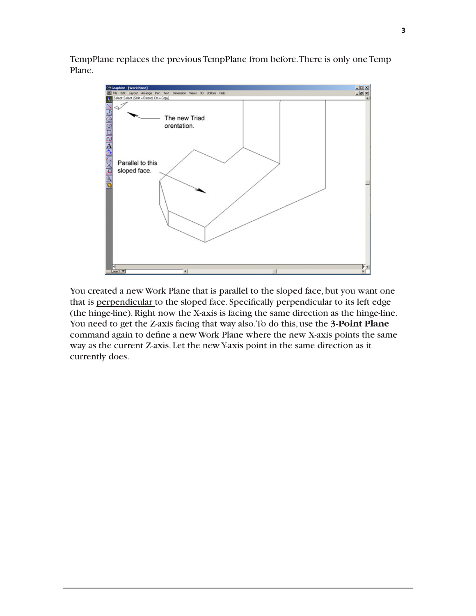TempPlane replaces the previous TempPlane from before. There is only one Temp Plane.



You created a new Work Plane that is parallel to the sloped face, but you want one that is perpendicular to the sloped face. Specifically perpendicular to its left edge (the hinge-line). Right now the X-axis is facing the same direction as the hinge-line. You need to get the Z-axis facing that way also. To do this, use the **3-Point Plane** command again to define a new Work Plane where the new X-axis points the same way as the current Z-axis. Let the new Y-axis point in the same direction as it currently does.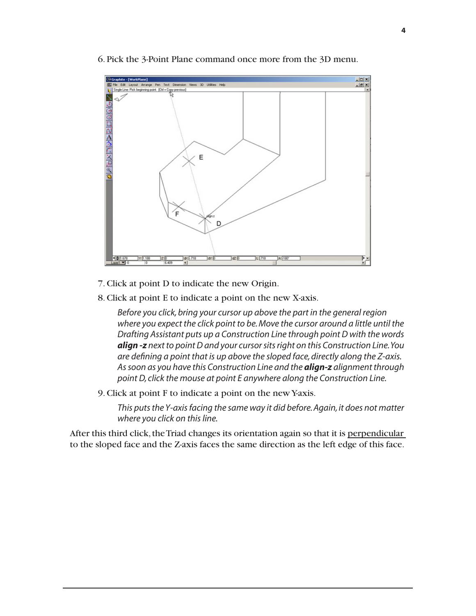

6. Pick the 3-Point Plane command once more from the 3D menu.

- 7. Click at point D to indicate the new Origin.
- 8. Click at point E to indicate a point on the new X-axis.

*Before you click, bring your cursor up above the part in the general region where you expect the click point to be. Move the cursor around a little until the Drafting Assistant puts up a Construction Line through point D with the words align -z next to point D and your cursor sits right on this Construction Line. You are defining a point that is up above the sloped face, directly along the Z-axis. As soon as you have this Construction Line and the align-z alignment through point D, click the mouse at point E anywhere along the Construction Line.*

9. Click at point F to indicate a point on the new Y-axis.

*This puts the Y-axis facing the same way it did before. Again, it does not matter where you click on this line.* 

After this third click, the Triad changes its orientation again so that it is perpendicular to the sloped face and the Z-axis faces the same direction as the left edge of this face.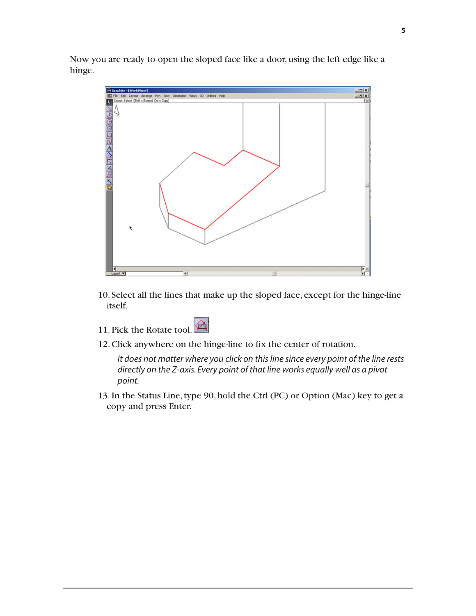Now you are ready to open the sloped face like a door, using the left edge like a hinge.



10. Select all the lines that make up the sloped face, except for the hinge-line itself.



12. Click anywhere on the hinge-line to fix the center of rotation.

*It does not matter where you click on this line since every point of the line rests directly on the Z-axis. Every point of that line works equally well as a pivot point.*

13. In the Status Line, type 90, hold the Ctrl (PC) or Option (Mac) key to get a copy and press Enter.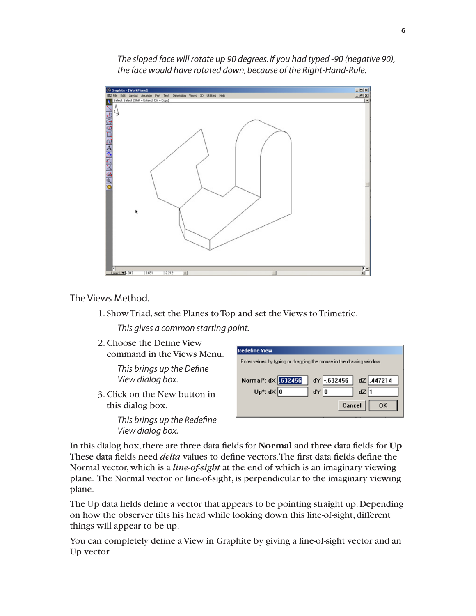*The sloped face will rotate up 90 degrees. If you had typed -90 (negative 90), the face would have rotated down, because of the Right-Hand-Rule.*



The Views Method.

1. Show Triad, set the Planes to Top and set the Views to Trimetric.

*This gives a common starting point.*

2. Choose the Define View command in the Views Menu.

> *This brings up the Define View dialog box.*

3. Click on the New button in this dialog box.

> *This brings up the Redefine View dialog box.*

| <b>Redefine View</b>                                                                     |
|------------------------------------------------------------------------------------------|
| Enter values by typing or dragging the mouse in the drawing window.                      |
| Normal*: dX .632456<br>dY -.632456<br>dZ .447214<br>Up*: $d \times 0$<br>dY 0<br>$dZ$  1 |
| Cancel<br>OΚ                                                                             |

In this dialog box, there are three data fields for **Normal** and three data fields for **Up**. These data fields need *delta* values to define vectors. The first data fields define the Normal vector, which is a *line-of-sight* at the end of which is an imaginary viewing plane. The Normal vector or line-of-sight, is perpendicular to the imaginary viewing plane.

The Up data fields define a vector that appears to be pointing straight up. Depending on how the observer tilts his head while looking down this line-of-sight, different things will appear to be up.

You can completely define a View in Graphite by giving a line-of-sight vector and an Up vector.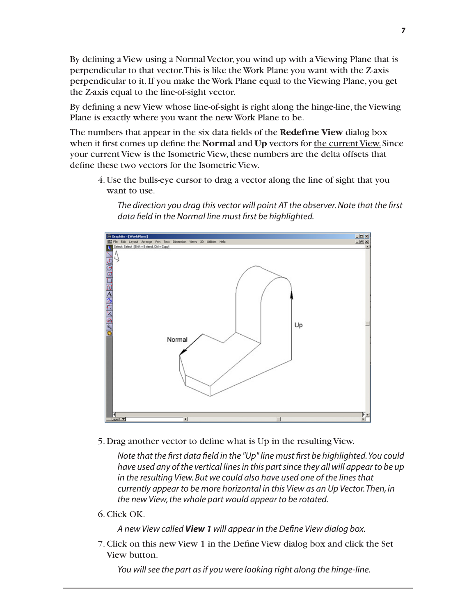By defining a View using a Normal Vector, you wind up with a Viewing Plane that is perpendicular to that vector. This is like the Work Plane you want with the Z-axis perpendicular to it. If you make the Work Plane equal to the Viewing Plane, you get the Z-axis equal to the line-of-sight vector.

By defining a new View whose line-of-sight is right along the hinge-line, the Viewing Plane is exactly where you want the new Work Plane to be.

The numbers that appear in the six data fields of the **Redefine View** dialog box when it first comes up define the **Normal** and **Up** vectors for the current View. Since your current View is the Isometric View, these numbers are the delta offsets that define these two vectors for the Isometric View.

4. Use the bulls-eye cursor to drag a vector along the line of sight that you want to use.





5. Drag another vector to define what is Up in the resulting View.

*Note that the first data field in the "Up" line must first be highlighted. You could have used any of the vertical lines in this part since they all will appear to be up in the resulting View. But we could also have used one of the lines that currently appear to be more horizontal in this View as an Up Vector. Then, in the new View, the whole part would appear to be rotated.*

6. Click OK.

*A new View called View 1 will appear in the Define View dialog box.*

7. Click on this new View 1 in the Define View dialog box and click the Set View button.

*You will see the part as if you were looking right along the hinge-line.*